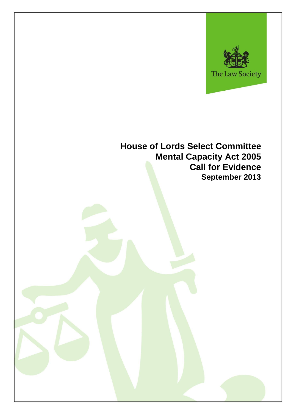

# **House of Lords Select Committee Mental Capacity Act 2005 Call for Evidence September 2013**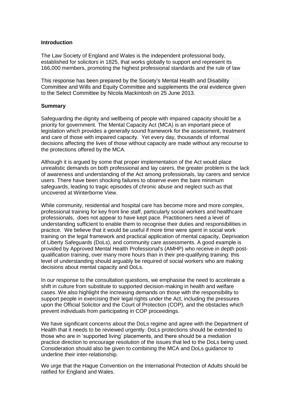#### **Introduction**

The Law Society of England and Wales is the independent professional body, established for solicitors in 1825, that works globally to support and represent its 166,000 members, promoting the highest professional standards and the rule of law

This response has been prepared by the Society's Mental Health and Disability Committee and Wills and Equity Committee and supplements the oral evidence given to the Select Committee by Nicola Mackintosh on 25 June 2013.

#### **Summary**

Safeguarding the dignity and wellbeing of people with impaired capacity should be a priority for government. The Mental Capacity Act (MCA) is an important piece of legislation which provides a generally sound framework for the assessment, treatment and care of those with impaired capacity. Yet every day, thousands of informal decisions affecting the lives of those without capacity are made without any recourse to the protections offered by the MCA.

Although it is argued by some that proper implementation of the Act would place unrealistic demands on both professional and lay carers, the greater problem is the lack of awareness and understanding of the Act among professionals, lay carers and service users. There have been shocking failures to observe even the bare minimum safeguards, leading to tragic episodes of chronic abuse and neglect such as that uncovered at Winterborne View.

While community, residential and hospital care has become more and more complex, professional training for key front line staff, particularly social workers and healthcare professionals, does not appear to have kept pace. Practitioners need a level of understanding sufficient to enable them to recognise their duties and responsibilities in practice. We believe that it would be useful if more time were spent in social work training on the legal framework and practical application of mental capacity, Deprivation of Liberty Safeguards (DoLs), and community care assessments. A good example is provided by Approved Mental Health Professional's (AMHP) who receive in depth postqualification training, over many more hours than in their pre-qualifying training: this level of understanding should arguably be required of social workers who are making decisions about mental capacity and DoLs.

In our response to the consultation questions, we emphasise the need to accelerate a shift in culture from substitute to supported decision-making in health and welfare cases. We also highlight the increasing demands on those with the responsibility to support people in exercising their legal rights under the Act, including the pressures upon the Official Solicitor and the Court of Protection (COP), and the obstacles which prevent individuals from participating in COP proceedings.

We have significant concerns about the DoLs regime and agree with the Department of Health that it needs to be reviewed urgently. DoLs protections should be extended to those who are in 'supported living' placements, and there should be a mediation practice direction to encourage resolution of the issues that led to the DoLs being used. Consideration should also be given to combining the MCA and DoLs guidance to underline their inter-relationship.

We urge that the Hague Convention on the International Protection of Adults should be ratified for England and Wales.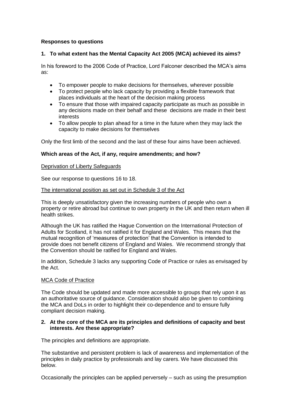# **Responses to questions**

# **1. To what extent has the Mental Capacity Act 2005 (MCA) achieved its aims?**

In his foreword to the 2006 Code of Practice, Lord Falconer described the MCA's aims as:

- To empower people to make decisions for themselves, wherever possible
- To protect people who lack capacity by providing a flexible framework that places individuals at the heart of the decision making process
- To ensure that those with impaired capacity participate as much as possible in any decisions made on their behalf and these decisions are made in their best interests
- To allow people to plan ahead for a time in the future when they may lack the capacity to make decisions for themselves

Only the first limb of the second and the last of these four aims have been achieved.

# **Which areas of the Act, if any, require amendments; and how?**

## Deprivation of Liberty Safeguards

See our response to questions 16 to 18.

## The international position as set out in Schedule 3 of the Act

This is deeply unsatisfactory given the increasing numbers of people who own a property or retire abroad but continue to own property in the UK and then return when ill health strikes.

Although the UK has ratified the Hague Convention on the International Protection of Adults for Scotland, it has not ratified it for England and Wales. This means that the mutual recognition of 'measures of protection' that the Convention is intended to provide does not benefit citizens of England and Wales. We recommend strongly that the Convention should be ratified for England and Wales.

In addition, Schedule 3 lacks any supporting Code of Practice or rules as envisaged by the Act.

#### MCA Code of Practice

The Code should be updated and made more accessible to groups that rely upon it as an authoritative source of guidance. Consideration should also be given to combining the MCA and DoLs in order to highlight their co-dependence and to ensure fully compliant decision making.

## **2. At the core of the MCA are its principles and definitions of capacity and best interests. Are these appropriate?**

The principles and definitions are appropriate.

The substantive and persistent problem is lack of awareness and implementation of the principles in daily practice by professionals and lay carers. We have discussed this below.

Occasionally the principles can be applied perversely – such as using the presumption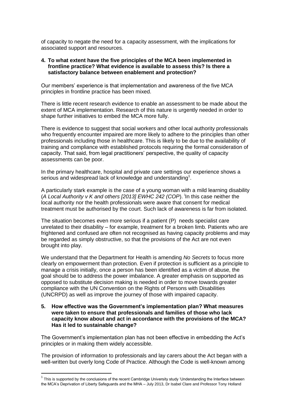of capacity to negate the need for a capacity assessment, with the implications for associated support and resources.

#### **4. To what extent have the five principles of the MCA been implemented in frontline practice? What evidence is available to assess this? Is there a satisfactory balance between enablement and protection?**

Our members' experience is that implementation and awareness of the five MCA principles in frontline practice has been mixed.

There is little recent research evidence to enable an assessment to be made about the extent of MCA implementation. Research of this nature is urgently needed in order to shape further initiatives to embed the MCA more fully.

There is evidence to suggest that social workers and other local authority professionals who frequently encounter impaired are more likely to adhere to the principles than other professionals including those in healthcare. This is likely to be due to the availability of training and compliance with established protocols requiring the formal consideration of capacity. That said, from legal practitioners' perspective, the quality of capacity assessments can be poor.

In the primary healthcare, hospital and private care settings our experience shows a serious and widespread lack of knowledge and understanding<sup>1</sup>.

A particularly stark example is the case of a young woman with a mild learning disability (A Local Authority v K and others [2013] EWHC 242 (COP). In this case neither the local authority nor the health professionals were aware that consent for medical treatment must be authorised by the court. Such lack of awareness is far from isolated.

The situation becomes even more serious if a patient (P) needs specialist care unrelated to their disability – for example, treatment for a broken limb. Patients who are frightened and confused are often not recognised as having capacity problems and may be regarded as simply obstructive, so that the provisions of the Act are not even brought into play.

We understand that the Department for Health is amending *No Secrets* to focus more clearly on empowerment than protection. Even if protection is sufficient as a principle to manage a crisis initially, once a person has been identified as a victim of abuse, the goal should be to address the power imbalance. A greater emphasis on supported as opposed to substitute decision making is needed in order to move towards greater compliance with the UN Convention on the Rights of Persons with Disabilities (UNCRPD) as well as improve the journey of those with impaired capacity.

#### **5. How effective was the Government's implementation plan? What measures were taken to ensure that professionals and families of those who lack capacity know about and act in accordance with the provisions of the MCA? Has it led to sustainable change?**

The Government's implementation plan has not been effective in embedding the Act's principles or in making them widely accessible.

The provision of information to professionals and lay carers about the Act began with a well-written but overly long Code of Practice. Although the Code is well-known among

 $\overline{a}$ 

 $1$  This is supported by the conclusions of the recent Cambridge University study 'Understanding the Interface between the MCA's Deprivation of Liberty Safeguards and the MHA – July 2013, Dr Isabel Clare and Professor Tony Holland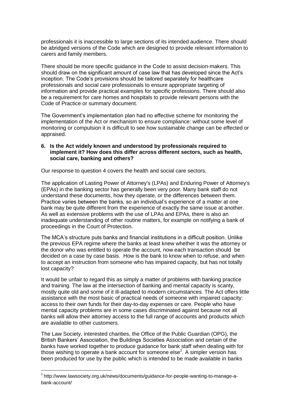professionals it is inaccessible to large sections of its intended audience. There should be abridged versions of the Code which are designed to provide relevant information to carers and family members.

There should be more specific guidance in the Code to assist decision-makers. This should draw on the significant amount of case law that has developed since the Act's inception. The Code's provisions should be tailored separately for healthcare professionals and social care professionals to ensure appropriate targeting of information and provide practical examples for specific professions. There should also be a requirement for care homes and hospitals to provide relevant persons with the Code of Practice or summary document.

The Government's implementation plan had no effective scheme for monitoring the implementation of the Act or mechanism to ensure compliance: without some level of monitoring or compulsion it is difficult to see how sustainable change can be effected or appraised.

#### **6. Is the Act widely known and understood by professionals required to implement it? How does this differ across different sectors, such as health, social care, banking and others?**

Our response to question 4 covers the health and social care sectors.

The application of Lasting Power of Attorney's (LPAs) and Enduring Power of Attorney's (EPAs) in the banking sector has generally been very poor. Many bank staff do not understand these documents, how they operate, or the differences between them. Practice varies between the banks, so an individual's experience of a matter at one bank may be quite different from the experience of exactly the same issue at another. As well as extensive problems with the use of LPAs and EPAs, there is also an inadequate understanding of other routine matters, for example on notifying a bank of proceedings in the Court of Protection.

The MCA's structure puts banks and financial institutions in a difficult position. Unlike the previous EPA regime where the banks at least knew whether it was the attorney or the donor who was entitled to operate the account, now each transaction should be decided on a case by case basis. How is the bank to know when to refuse, and when to accept an instruction from someone who has impaired capacity, but has not totally lost capacity?

It would be unfair to regard this as simply a matter of problems with banking practice and training. The law at the intersection of banking and mental capacity is scanty, mostly quite old and some of it ill-adapted to modern circumstances. The Act offers little assistance with the most basic of practical needs of someone with impaired capacity: access to their own funds for their day-to-day expenses or care. People who have mental capacity problems are in some cases discriminated against because not all banks will allow their attorney access to the full range of accounts and products which are available to other customers.

The Law Society, interested charities, the Office of the Public Guardian (OPG), the British Bankers' Association, the Buildings Societies Association and certain of the banks have worked together to produce guidance for bank staff when dealing with for those wishing to operate a bank account for someone else<sup>2</sup>. A simpler version has been produced for use by the public which is intended to be made available in banks

 $\overline{\phantom{a}}$ 

<sup>&</sup>lt;sup>2</sup> [http://www.lawsociety.org.uk/news/documents/guidance-for-people-wanting-to-manage-a](http://www.lawsociety.org.uk/news/documents/guidance-for-people-wanting-to-manage-a-bank-account/)[bank-account/](http://www.lawsociety.org.uk/news/documents/guidance-for-people-wanting-to-manage-a-bank-account/)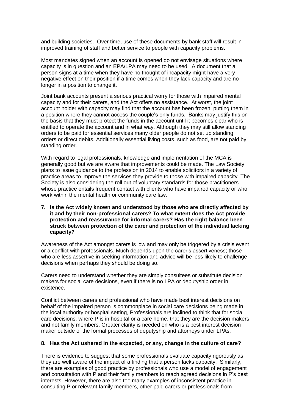and building societies. Over time, use of these documents by bank staff will result in improved training of staff and better service to people with capacity problems.

Most mandates signed when an account is opened do not envisage situations where capacity is in question and an EPA/LPA may need to be used. A document that a person signs at a time when they have no thought of incapacity might have a very negative effect on their position if a time comes when they lack capacity and are no longer in a position to change it.

Joint bank accounts present a serious practical worry for those with impaired mental capacity and for their carers, and the Act offers no assistance. At worst, the joint account holder with capacity may find that the account has been frozen, putting them in a position where they cannot access the couple's only funds. Banks may justify this on the basis that they must protect the funds in the account until it becomes clear who is entitled to operate the account and in what way. Although they may still allow standing orders to be paid for essential services many older people do not set up standing orders or direct debits. Additionally essential living costs, such as food, are not paid by standing order.

With regard to legal professionals, knowledge and implementation of the MCA is generally good but we are aware that improvements could be made. The Law Society plans to issue guidance to the profession in 2014 to enable solicitors in a variety of practice areas to improve the services they provide to those with impaired capacity. The Society is also considering the roll out of voluntary standards for those practitioners whose practice entails frequent contact with clients who have impaired capacity or who work within the mental health or community care law.

**7. Is the Act widely known and understood by those who are directly affected by it and by their non-professional carers? To what extent does the Act provide protection and reassurance for informal carers? Has the right balance been struck between protection of the carer and protection of the individual lacking capacity?**

Awareness of the Act amongst carers is low and may only be triggered by a crisis event or a conflict with professionals. Much depends upon the carer's assertiveness; those who are less assertive in seeking information and advice will be less likely to challenge decisions when perhaps they should be doing so.

Carers need to understand whether they are simply consultees or substitute decision makers for social care decisions, even if there is no LPA or deputyship order in existence.

Conflict between carers and professional who have made best interest decisions on behalf of the impaired person is commonplace in social care decisions being made in the local authority or hospital setting, Professionals are inclined to think that for social care decisions, where P is in hospital or a care home, that they are the decision makers and not family members. Greater clarity is needed on who is a best interest decision maker outside of the formal processes of deputyship and attorneys under LPAs.

#### **8. Has the Act ushered in the expected, or any, change in the culture of care?**

There is evidence to suggest that some professionals evaluate capacity rigorously as they are well aware of the impact of a finding that a person lacks capacity. Similarly, there are examples of good practice by professionals who use a model of engagement and consultation with P and their family members to reach agreed decisions in P's best interests. However, there are also too many examples of inconsistent practice in consulting P or relevant family members, other paid carers or professionals from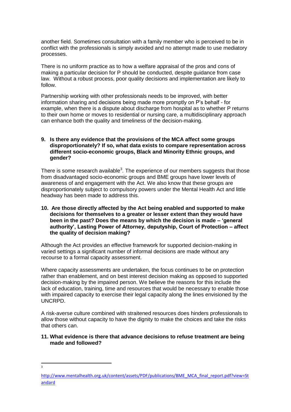another field. Sometimes consultation with a family member who is perceived to be in conflict with the professionals is simply avoided and no attempt made to use mediatory processes.

There is no uniform practice as to how a welfare appraisal of the pros and cons of making a particular decision for P should be conducted, despite guidance from case law. Without a robust process, poor quality decisions and implementation are likely to follow.

Partnership working with other professionals needs to be improved, with better information sharing and decisions being made more promptly on P's behalf - for example, when there is a dispute about discharge from hospital as to whether P returns to their own home or moves to residential or nursing care, a multidisciplinary approach can enhance both the quality and timeliness of the decision-making.

## **9. Is there any evidence that the provisions of the MCA affect some groups disproportionately? If so, what data exists to compare representation across different socio-economic groups, Black and Minority Ethnic groups, and gender?**

There is some research available<sup>3</sup>. The experience of our members suggests that those from disadvantaged socio-economic groups and BME groups have lower levels of awareness of and engagement with the Act. We also know that these groups are disproportionately subject to compulsory powers under the Mental Health Act and little headway has been made to address this.

## **10. Are those directly affected by the Act being enabled and supported to make decisions for themselves to a greater or lesser extent than they would have been in the past? Does the means by which the decision is made – 'general authority', Lasting Power of Attorney, deputyship, Court of Protection – affect the quality of decision making?**

Although the Act provides an effective framework for supported decision-making in varied settings a significant number of informal decisions are made without any recourse to a formal capacity assessment.

Where capacity assessments are undertaken, the focus continues to be on protection rather than enablement, and on best interest decision making as opposed to supported decision-making by the impaired person. We believe the reasons for this include the lack of education, training, time and resources that would be necessary to enable those with impaired capacity to exercise their legal capacity along the lines envisioned by the UNCRPD.

A risk-averse culture combined with straitened resources does hinders professionals to allow those without capacity to have the dignity to make the choices and take the risks that others can.

## **11. What evidence is there that advance decisions to refuse treatment are being made and followed?**

<sup>-&</sup>lt;br>3

[http://www.mentalhealth.org.uk/content/assets/PDF/publications/BME\\_MCA\\_final\\_report.pdf?view=St](http://www.mentalhealth.org.uk/content/assets/PDF/publications/BME_MCA_final_report.pdf?view=Standard) [andard](http://www.mentalhealth.org.uk/content/assets/PDF/publications/BME_MCA_final_report.pdf?view=Standard)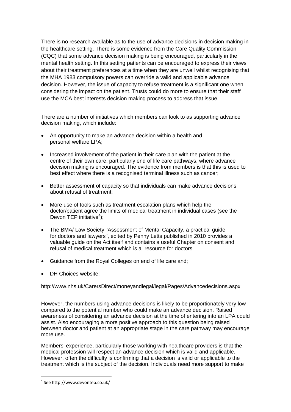There is no research available as to the use of advance decisions in decision making in the healthcare setting. There is some evidence from the Care Quality Commission (CQC) that some advance decision making is being encouraged, particularly in the mental health setting. In this setting patients can be encouraged to express their views about their treatment preferences at a time when they are unwell whilst recognising that the MHA 1983 compulsory powers can override a valid and applicable advance decision. However, the issue of capacity to refuse treatment is a significant one when considering the impact on the patient. Trusts could do more to ensure that their staff use the MCA best interests decision making process to address that issue.

There are a number of initiatives which members can look to as supporting advance decision making, which include:

- An opportunity to make an advance decision within a health and personal welfare LPA;
- Increased involvement of the patient in their care plan with the patient at the centre of their own care, particularly end of life care pathways, where advance decision making is encouraged. The evidence from members is that this is used to best effect where there is a recognised terminal illness such as cancer;
- Better assessment of capacity so that individuals can make advance decisions about refusal of treatment;
- More use of tools such as treatment escalation plans which help the doctor/patient agree the limits of medical treatment in individual cases (see the Devon TEP initiative<sup>4</sup>);
- The BMA/ Law Society "Assessment of Mental Capacity, a practical guide for doctors and lawyers", edited by Penny Letts published in 2010 provides a valuable guide on the Act itself and contains a useful Chapter on consent and refusal of medical treatment which is a resource for doctors
- Guidance from the Royal Colleges on end of life care and;
- DH Choices website:

# <http://www.nhs.uk/CarersDirect/moneyandlegal/legal/Pages/Advancedecisions.aspx>

However, the numbers using advance decisions is likely to be proportionately very low compared to the potential number who could make an advance decision. Raised awareness of considering an advance decision at the time of entering into an LPA could assist. Also encouraging a more positive approach to this question being raised between doctor and patient at an appropriate stage in the care pathway may encourage more use.

Members' experience, particularly those working with healthcare providers is that the medical profession will respect an advance decision which is valid and applicable. However, often the difficulty is confirming that a decision is valid or applicable to the treatment which is the subject of the decision. Individuals need more support to make

 $\overline{\phantom{a}}$ 

<sup>4</sup> See http://www.devontep.co.uk/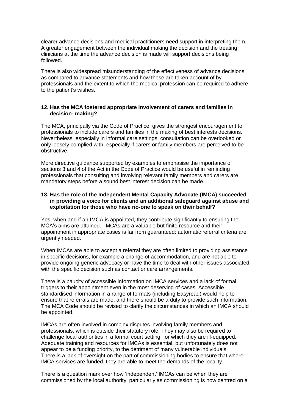clearer advance decisions and medical practitioners need support in interpreting them. A greater engagement between the individual making the decision and the treating clinicians at the time the advance decision is made will support decisions being followed.

There is also widespread misunderstanding of the effectiveness of advance decisions as compared to advance statements and how these are taken account of by professionals and the extent to which the medical profession can be required to adhere to the patient's wishes.

## **12. Has the MCA fostered appropriate involvement of carers and families in decision- making?**

The MCA, principally via the Code of Practice, gives the strongest encouragement to professionals to include carers and families in the making of best interests decisions. Nevertheless, especially in informal care settings, consultation can be overlooked or only loosely complied with, especially if carers or family members are perceived to be obstructive.

More directive guidance supported by examples to emphasise the importance of sections 3 and 4 of the Act in the Code of Practice would be useful in reminding professionals that consulting and involving relevant family members and carers are mandatory steps before a sound best interest decision can be made.

#### **13. Has the role of the Independent Mental Capacity Advocate (IMCA) succeeded in providing a voice for clients and an additional safeguard against abuse and exploitation for those who have no-one to speak on their behalf?**

Yes, when and if an IMCA is appointed, they contribute significantly to ensuring the MCA's aims are attained. IMCAs are a valuable but finite resource and their appointment in appropriate cases is far from guaranteed: automatic referral criteria are urgently needed.

When IMCAs are able to accept a referral they are often limited to providing assistance in specific decisions, for example a change of accommodation, and are not able to provide ongoing generic advocacy or have the time to deal with other issues associated with the specific decision such as contact or care arrangements.

There is a paucity of accessible information on IMCA services and a lack of formal triggers to their appointment even in the most deserving of cases. Accessible standardised information in a range of formats (including Easyread) would help to ensure that referrals are made, and there should be a duty to provide such information. The MCA Code should be revised to clarify the circumstances in which an IMCA should be appointed.

IMCAs are often involved in complex disputes involving family members and professionals, which is outside their statutory role. They may also be required to challenge local authorities in a formal court setting, for which they are ill-equipped. Adequate training and resources for IMCAs is essential, but unfortunately does not appear to be a funding priority, to the detriment of many vulnerable individuals. There is a lack of oversight on the part of commissioning bodies to ensure that where IMCA services are funded, they are able to meet the demands of the locality.

There is a question mark over how 'independent' IMCAs can be when they are commissioned by the local authority, particularly as commissioning is now centred on a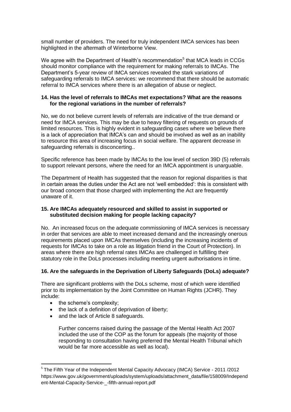small number of providers. The need for truly independent IMCA services has been highlighted in the aftermath of Winterborne View.

We agree with the Department of Health's recommendation<sup>5</sup> that MCA leads in CCGs should monitor compliance with the requirement for making referrals to IMCAs. The Department's 5-year review of IMCA services revealed the stark variations of safeguarding referrals to IMCA services: we recommend that there should be automatic referral to IMCA services where there is an allegation of abuse or neglect.

## **14. Has the level of referrals to IMCAs met expectations? What are the reasons for the regional variations in the number of referrals?**

No, we do not believe current levels of referrals are indicative of the true demand or need for IMCA services. This may be due to heavy filtering of requests on grounds of limited resources. This is highly evident in safeguarding cases where we believe there is a lack of appreciation that IMCA's can and should be involved as well as an inability to resource this area of increasing focus in social welfare. The apparent decrease in safeguarding referrals is disconcerting..

Specific reference has been made by IMCAs to the low level of section 39D (5) referrals to support relevant persons, where the need for an IMCA appointment is unarguable.

The Department of Health has suggested that the reason for regional disparities is that in certain areas the duties under the Act are not 'well embedded': this is consistent with our broad concern that those charged with implementing the Act are frequently unaware of it.

# **15. Are IMCAs adequately resourced and skilled to assist in supported or substituted decision making for people lacking capacity?**

No. An increased focus on the adequate commissioning of IMCA services is necessary in order that services are able to meet increased demand and the increasingly onerous requirements placed upon IMCAs themselves (including the increasing incidents of requests for IMCAs to take on a role as litigation friend in the Court of Protection). In areas where there are high referral rates IMCAs are challenged in fulfilling their statutory role in the DoLs processes including meeting urgent authorisations in time.

# **16. Are the safeguards in the Deprivation of Liberty Safeguards (DoLs) adequate?**

There are significant problems with the DoLs scheme, most of which were identified prior to its implementation by the Joint Committee on Human Rights (JCHR). They include:

• the scheme's complexity;

 $\overline{\phantom{a}}$ 

- the lack of a definition of deprivation of liberty;
- and the lack of Article 8 safeguards.

Further concerns raised during the passage of the Mental Health Act 2007 included the use of the COP as the forum for appeals (the majority of those responding to consultation having preferred the Mental Health Tribunal which would be far more accessible as well as local).

<sup>&</sup>lt;sup>5</sup> The Fifth Year of the Independent Mental Capacity Advocacy (IMCA) Service - 2011 /2012 https://www.gov.uk/government/uploads/system/uploads/attachment\_data/file/158009/Independ ent-Mental-Capacity-Service-\_-fifth-annual-report.pdf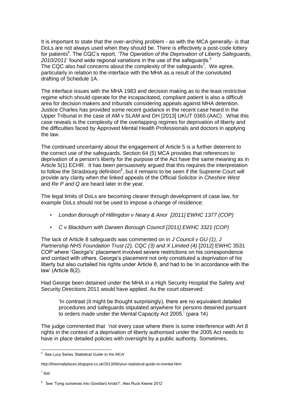It is important to state that the over-arching problem - as with the MCA generally- is that DoLs are not always used when they should be. There is effectively a post-code lottery for patients<sup>6</sup>. The CQC's report, 'The Operation of the Deprivation of Liberty Safeguards,  $2010/2011$ ' found wide regional variations in the use of the safeguards.<sup>ii</sup> The CQC also had concerns about the complexity of the safeguards<sup>7</sup>. We agree, particularly in relation to the interface with the MHA as a result of the convoluted drafting of Schedule 1A.

The interface issues with the MHA 1983 and decision making as to the least restrictive regime which should operate for the incapacitated, compliant patient is also a difficult area for decision makers and tribunals considering appeals against MHA detention. Justice Charles has provided some recent guidance in the recent case heard in the Upper Tribunal in the case of AM v SLAM and DH [2013] UKUT 0365 (AAC) . What this case reveals is the complexity of the overlapping regimes for deprivation of liberty and the difficulties faced by Approved Mental Health Professionals and doctors in applying the law.

The continued uncertainty about the engagement of Article 5 is a further deterrent to the correct use of the safeguards. Section 64 (5) MCA provides that references to deprivation of a person's liberty for the purpose of the Act have the same meaning as in Article 5(1) ECHR. It has been persuasively argued that this requires the interpretation to follow the Strasbourg definition<sup>8</sup>, but it remains to be seen if the Supreme Court will provide any clarity when the linked appeals of the Official Solicitor in *Cheshire West* and *Re P and Q* are heard later in the year.

The legal limits of DoLs are becoming clearer through development of case law, for example DoLs should not be used to impose a change of residence:

- *London Borough of Hillingdon v Neary & Anor [2011] EWHC 1377 (COP)*
- *C v Blackburn with Darwen Borough Council [2011] EWHC 3321 (COP)*

The lack of Article 8 safeguards was commented on in *J Council v GU (1), J Partnership NHS Foundation Trust (2), CQC (3) and X Limited (4)* [2012] EWHC 3531 COP where 'George's' placement involved severe restrictions on his correspondence and contact with others. George's placement not only constituted a deprivation of his liberty but also curtailed his rights under Article 8, and had to be 'in accordance with the law' (Article 8(2).

Had George been detained under the MHA in a High Security Hospital the Safety and Security Directions 2011 would have applied. As the court observed:

'In contrast (it might be thought surprisingly), there are no equivalent detailed procedures and safeguards stipulated anywhere for persons detained pursuant to orders made under the Mental Capacity Act 2005.' (para 14)

The judge commented that 'not every case where there is some interference with Art 8 rights in the context of a deprivation of liberty authorised under the 2005 Act needs to have in place detailed policies with oversight by a public authority. Sometimes,

7 ibid

 6 See Lucy Series 'Statistical Guide to the MCA'

http://thesmallplaces.blogspot.co.uk/2013/06/your-statistical-guide-to-mental.html

<sup>&</sup>lt;sup>8</sup> See 'Tying ourselves into (Gordian) knots?', Alex Ruck Keene 2012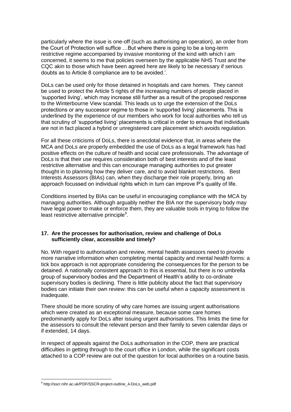particularly where the issue is one-off (such as authorising an operation), an order from the Court of Protection will suffice …But where there is going to be a long-term restrictive regime accompanied by invasive monitoring of the kind with which I am concerned, it seems to me that policies overseen by the applicable NHS Trust and the CQC akin to those which have been agreed here are likely to be necessary if serious doubts as to Article 8 compliance are to be avoided.'.

DoLs can be used only for those detained in hospitals and care homes. They cannot be used to protect the Article 5 rights of the increasing numbers of people placed in 'supported living', which may increase still further as a result of the proposed response to the Winterbourne View scandal. This leads us to urge the extension of the DoLs protections or any successor regime to those in 'supported living' placements. This is underlined by the experience of our members who work for local authorities who tell us that scrutiny of 'supported living' placements is critical in order to ensure that individuals are not in fact placed a hybrid or unregistered care placement which avoids regulation.

For all these criticisms of DoLs, there is anecdotal evidence that, in areas where the MCA and DoLs are properly embedded the use of DoLs as a legal framework has had positive effects on the culture of health and social care professionals. The advantage of DoLs is that their use requires consideration both of best interests and of the least restrictive alternative and this can encourage managing authorities to put greater thought in to planning how they deliver care, and to avoid blanket restrictions. Best Interests Assessors (BIAs) can, when they discharge their role properly, bring an approach focussed on individual rights which in turn can improve P's quality of life.

Conditions inserted by BIAs can be useful in encouraging compliance with the MCA by managing authorities. Although arguably neither the BIA nor the supervisory body may have legal power to make or enforce them, they are valuable tools in trying to follow the least restrictive alternative principle<sup>9</sup>.

#### **17. Are the processes for authorisation, review and challenge of DoLs sufficiently clear, accessible and timely?**

No. With regard to authorisation and review, mental health assessors need to provide more narrative information when completing mental capacity and mental health forms: a tick box approach is not appropriate considering the consequences for the person to be detained. A nationally consistent approach to this is essential, but there is no umbrella group of supervisory bodies and the Department of Health's ability to co-ordinate supervisory bodies is declining. There is little publicity about the fact that supervisory bodies can initiate their own review: this can be useful when a capacity assessment is inadequate.

There should be more scrutiny of why care homes are issuing urgent authorisations which were created as an exceptional measure, because some care homes predominantly apply for DoLs after issuing urgent authorisations. This limits the time for the assessors to consult the relevant person and their family to seven calendar days or if extended, 14 days.

In respect of appeals against the DoLs authorisation in the COP, there are practical difficulties in getting through to the court office in London, while the significant costs attached to a COP review are out of the question for local authorities on a routine basis.

 $\overline{\phantom{a}}$ 

<sup>&</sup>lt;sup>9</sup> http://sscr.nihr.ac.uk/PDF/SSCR-project-outline\_4-DoLs\_web.pdf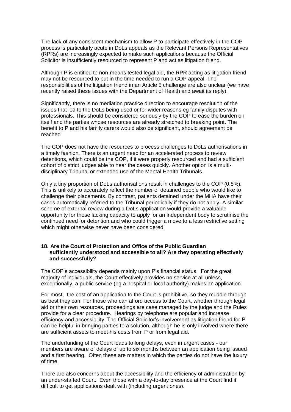The lack of any consistent mechanism to allow P to participate effectively in the COP process is particularly acute in DoLs appeals as the Relevant Persons Representatives (RPRs) are increasingly expected to make such applications because the Official Solicitor is insufficiently resourced to represent P and act as litigation friend.

Although P is entitled to non-means tested legal aid, the RPR acting as litigation friend may not be resourced to put in the time needed to run a COP appeal. The responsibilities of the litigation friend in an Article 5 challenge are also unclear (we have recently raised these issues with the Department of Health and await its reply).

Significantly, there is no mediation practice direction to encourage resolution of the issues that led to the DoLs being used or for wider reasons eg family disputes with professionals. This should be considered seriously by the COP to ease the burden on itself and the parties whose resources are already stretched to breaking point. The benefit to P and his family carers would also be significant, should agreement be reached.

The COP does not have the resources to process challenges to DoLs authorisations in a timely fashion. There is an urgent need for an accelerated process to review detentions, which could be the COP, if it were properly resourced and had a sufficient cohort of district judges able to hear the cases quickly. Another option is a multidisciplinary Tribunal or extended use of the Mental Health Tribunals.

Only a tiny proportion of DoLs authorisations result in challenges to the COP (0.8%). This is unlikely to accurately reflect the number of detained people who would like to challenge their placements. By contrast, patients detained under the MHA have their cases automatically referred to the Tribunal periodically if they do not apply. A similar scheme of external review during a DoLs application would provide a valuable opportunity for those lacking capacity to apply for an independent body to scrutinise the continued need for detention and who could trigger a move to a less restrictive setting which might otherwise never have been considered.

## **18. Are the Court of Protection and Office of the Public Guardian sufficiently understood and accessible to all? Are they operating effectively and successfully?**

The COP's accessibility depends mainly upon P's financial status. For the great majority of individuals, the Court effectively provides no service at all unless, exceptionally, a public service (eg a hospital or local authority) makes an application.

For most, the cost of an application to the Court is prohibitive, so they muddle through as best they can. For those who can afford access to the Court, whether through legal aid or their own resources, proceedings are case managed by the judge and the Rules provide for a clear procedure. Hearings by telephone are popular and increase efficiency and accessibility. The Official Solicitor's involvement as litigation friend for P can be helpful in bringing parties to a solution, although he is only involved where there are sufficient assets to meet his costs from P or from legal aid.

The underfunding of the Court leads to long delays, even in urgent cases - our members are aware of delays of up to six months between an application being issued and a first hearing. Often these are matters in which the parties do not have the luxury of time.

There are also concerns about the accessibility and the efficiency of administration by an under-staffed Court. Even those with a day-to-day presence at the Court find it difficult to get applications dealt with (including urgent ones).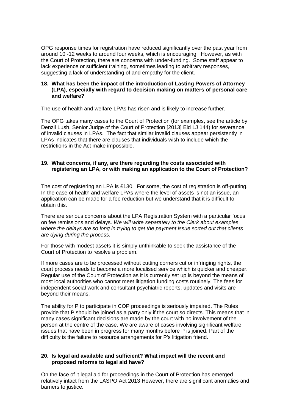OPG response times for registration have reduced significantly over the past year from around 10 -12 weeks to around four weeks, which is encouraging. However, as with the Court of Protection, there are concerns with under-funding. Some staff appear to lack experience or sufficient training, sometimes leading to arbitrary responses, suggesting a lack of understanding of and empathy for the client.

## **18. What has been the impact of the introduction of Lasting Powers of Attorney (LPA), especially with regard to decision making on matters of personal care and welfare?**

The use of health and welfare LPAs has risen and is likely to increase further.

The OPG takes many cases to the Court of Protection (for examples, see the article by Denzil Lush, Senior Judge of the Court of Protection [2013] Eld LJ 144) for severance of invalid clauses in LPAs. The fact that similar invalid clauses appear persistently in LPAs indicates that there are clauses that individuals wish to include which the restrictions in the Act make impossible.

# **19. What concerns, if any, are there regarding the costs associated with registering an LPA, or with making an application to the Court of Protection?**

The cost of registering an LPA is £130. For some, the cost of registration is off-putting. In the case of health and welfare LPAs where the level of assets is not an issue, an application can be made for a fee reduction but we understand that it is difficult to obtain this.

There are serious concerns about the LPA Registration System with a particular focus on fee remissions and delays. *We will write separately to the Clerk about examples where the delays are so long in trying to get the payment issue sorted out that clients are dying during the process.*

For those with modest assets it is simply unthinkable to seek the assistance of the Court of Protection to resolve a problem.

If more cases are to be processed without cutting corners cut or infringing rights, the court process needs to become a more localised service which is quicker and cheaper. Regular use of the Court of Protection as it is currently set up is beyond the means of most local authorities who cannot meet litigation funding costs routinely. The fees for independent social work and consultant psychiatric reports, updates and visits are beyond their means.

The ability for P to participate in COP proceedings is seriously impaired. The Rules provide that P should be joined as a party only if the court so directs. This means that in many cases significant decisions are made by the court with no involvement of the person at the centre of the case. We are aware of cases involving significant welfare issues that have been in progress for many months before P is joined. Part of the difficulty is the failure to resource arrangements for P's litigation friend.

# **20. Is legal aid available and sufficient? What impact will the recent and proposed reforms to legal aid have?**

On the face of it legal aid for proceedings in the Court of Protection has emerged relatively intact from the LASPO Act 2013 However, there are significant anomalies and barriers to justice.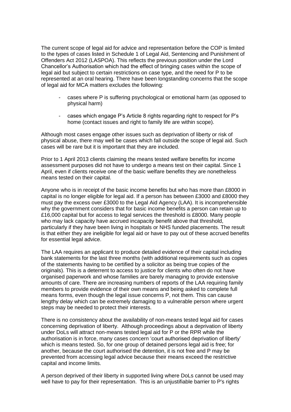The current scope of legal aid for advice and representation before the COP is limited to the types of cases listed in Schedule 1 of Legal Aid, Sentencing and Punishment of Offenders Act 2012 (LASPOA). This reflects the previous position under the Lord Chancellor's Authorisation which had the effect of bringing cases within the scope of legal aid but subject to certain restrictions on case type, and the need for P to be represented at an oral hearing. There have been longstanding concerns that the scope of legal aid for MCA matters excludes the following:

- cases where P is suffering psychological or emotional harm (as opposed to physical harm)
- cases which engage P's Article 8 rights regarding right to respect for P's home (contact issues and right to family life are within scope).

Although most cases engage other issues such as deprivation of liberty or risk of physical abuse, there may well be cases which fall outside the scope of legal aid. Such cases will be rare but it is important that they are included.

Prior to 1 April 2013 clients claiming the means tested welfare benefits for income assessment purposes did not have to undergo a means test on their capital. Since 1 April, even if clients receive one of the basic welfare benefits they are nonetheless means tested on their capital.

Anyone who is in receipt of the basic income benefits but who has more than £8000 in capital is no longer eligible for legal aid. If a person has between £3000 and £8000 they must pay the excess over £3000 to the Legal Aid Agency (LAA). It is incomprehensible why the government considers that for basic income benefits a person can retain up to £16,000 capital but for access to legal services the threshold is £8000. Many people who may lack capacity have accrued incapacity benefit above that threshold, particularly if they have been living in hospitals or NHS funded placements. The result is that either they are ineligible for legal aid or have to pay out of these accrued benefits for essential legal advice.

The LAA requires an applicant to produce detailed evidence of their capital including bank statements for the last three months (with additional requirements such as copies of the statements having to be certified by a solicitor as being true copies of the originals). This is a deterrent to access to justice for clients who often do not have organised paperwork and whose families are barely managing to provide extensive amounts of care. There are increasing numbers of reports of the LAA requiring family members to provide evidence of their own means and being asked to complete full means forms, even though the legal issue concerns P, not them. This can cause lengthy delay which can be extremely damaging to a vulnerable person where urgent steps may be needed to protect their interests.

There is no consistency about the availability of non-means tested legal aid for cases concerning deprivation of liberty. Although proceedings about a deprivation of liberty under DoLs will attract non-means tested legal aid for P or the RPR while the authorisation is in force, many cases concern 'court authorised deprivation of liberty' which is means tested. So, for one group of detained persons legal aid is free; for another, because the court authorised the detention, it is not free and P may be prevented from accessing legal advice because their means exceed the restrictive capital and income limits.

A person deprived of their liberty in supported living where DoLs cannot be used may well have to pay for their representation. This is an unjustifiable barrier to P's rights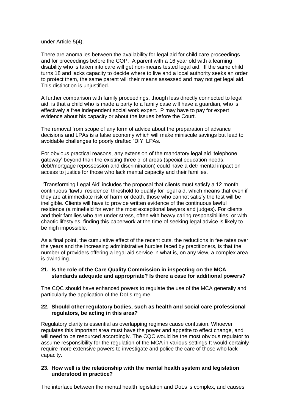under Article 5(4).

There are anomalies between the availability for legal aid for child care proceedings and for proceedings before the COP. A parent with a 16 year old with a learning disability who is taken into care will get non-means tested legal aid. If the same child turns 18 and lacks capacity to decide where to live and a local authority seeks an order to protect them, the same parent will their means assessed and may not get legal aid. This distinction is unjustified.

A further comparison with family proceedings, though less directly connected to legal aid, is that a child who is made a party to a family case will have a guardian, who is effectively a free independent social work expert. P may have to pay for expert evidence about his capacity or about the issues before the Court.

The removal from scope of any form of advice about the preparation of advance decisions and LPAs is a false economy which will make miniscule savings but lead to avoidable challenges to poorly drafted 'DIY' LPAs.

For obvious practical reasons, any extension of the mandatory legal aid 'telephone gateway' beyond than the existing three pilot areas (special education needs, debt/mortgage repossession and discrimination) could have a detrimental impact on access to justice for those who lack mental capacity and their families.

'Transforming Legal Aid' includes the proposal that clients must satisfy a 12 month continuous 'lawful residence' threshold to qualify for legal aid, which means that even if they are at immediate risk of harm or death, those who cannot satisfy the test will be ineligible. Clients will have to provide written evidence of the continuous lawful residence (a minefield for even the most exceptional lawyers and judges). For clients and their families who are under stress, often with heavy caring responsibilities, or with chaotic lifestyles, finding this paperwork at the time of seeking legal advice is likely to be nigh impossible.

As a final point, the cumulative effect of the recent cuts, the reductions in fee rates over the years and the increasing administrative hurdles faced by practitioners, is that the number of providers offering a legal aid service in what is, on any view, a complex area is dwindling.

## **21. Is the role of the Care Quality Commission in inspecting on the MCA standards adequate and appropriate? Is there a case for additional powers?**

The CQC should have enhanced powers to regulate the use of the MCA generally and particularly the application of the DoLs regime.

## **22. Should other regulatory bodies, such as health and social care professional regulators, be acting in this area?**

Regulatory clarity is essential as overlapping regimes cause confusion. Whoever regulates this important area must have the power and appetite to effect change, and will need to be resourced accordingly. The CQC would be the most obvious regulator to assume responsibility for the regulation of the MCA in various settings It would certainly require more extensive powers to investigate and police the care of those who lack capacity.

## **23. How well is the relationship with the mental health system and legislation understood in practice?**

The interface between the mental health legislation and DoLs is complex, and causes